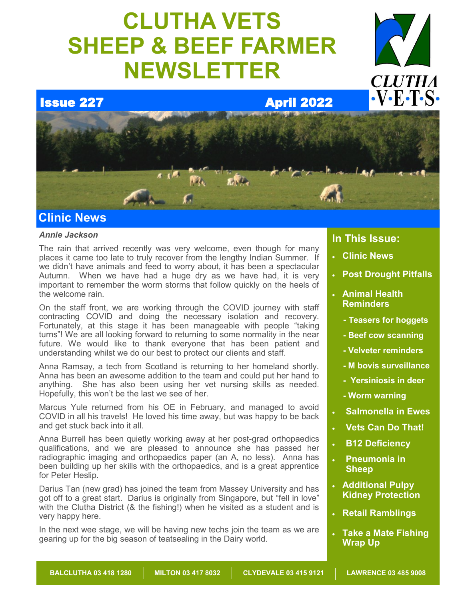# **CLUTHA VETS SHEEP & BEEF FARMER NEWSLETTER**



# **Issue 227 April 2022**



# **Clinic News**

### *Annie Jackson*

The rain that arrived recently was very welcome, even though for many places it came too late to truly recover from the lengthy Indian Summer. If we didn't have animals and feed to worry about, it has been a spectacular Autumn. When we have had a huge dry as we have had, it is very important to remember the worm storms that follow quickly on the heels of the welcome rain.

On the staff front, we are working through the COVID journey with staff contracting COVID and doing the necessary isolation and recovery. Fortunately, at this stage it has been manageable with people "taking turns"! We are all looking forward to returning to some normality in the near future. We would like to thank everyone that has been patient and understanding whilst we do our best to protect our clients and staff.

Anna Ramsay, a tech from Scotland is returning to her homeland shortly. Anna has been an awesome addition to the team and could put her hand to anything. She has also been using her vet nursing skills as needed. Hopefully, this won't be the last we see of her.

Marcus Yule returned from his OE in February, and managed to avoid COVID in all his travels! He loved his time away, but was happy to be back and get stuck back into it all.

Anna Burrell has been quietly working away at her post-grad orthopaedics qualifications, and we are pleased to announce she has passed her radiographic imaging and orthopaedics paper (an A, no less). Anna has been building up her skills with the orthopaedics, and is a great apprentice for Peter Heslip.

Darius Tan (new grad) has joined the team from Massey University and has got off to a great start. Darius is originally from Singapore, but "fell in love" with the Clutha District (& the fishing!) when he visited as a student and is very happy here.

In the next wee stage, we will be having new techs join the team as we are gearing up for the big season of teatsealing in the Dairy world.

### **In This Issue:**

- **Clinic News**
- **Post Drought Pitfalls**
- **Animal Health Reminders**
	- **- Teasers for hoggets**
	- **- Beef cow scanning**
	- **- Velveter reminders**
	- **- M bovis surveillance**
	- **- Yersiniosis in deer**
	- **- Worm warning**
- **Salmonella in Ewes**
- **Vets Can Do That!**
- **B12 Deficiency**
- **Pneumonia in Sheep**
- **Additional Pulpy Kidney Protection**
- **Retail Ramblings**
- **Take a Mate Fishing Wrap Up**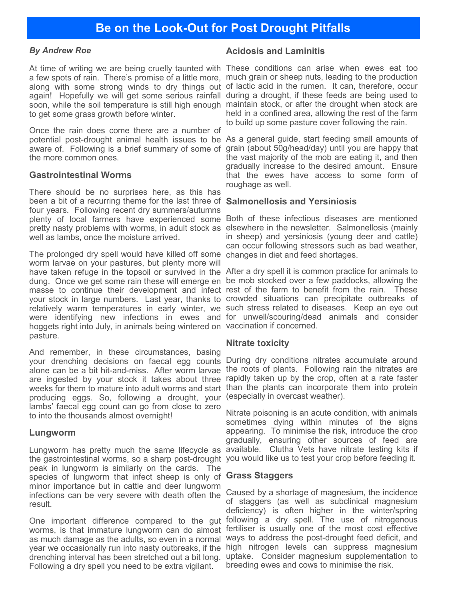### *By Andrew Roe*

At time of writing we are being cruelly taunted with These conditions can arise when ewes eat too a few spots of rain. There's promise of a little more, much grain or sheep nuts, leading to the production along with some strong winds to dry things out of lactic acid in the rumen. It can, therefore, occur again! Hopefully we will get some serious rainfall during a drought, if these feeds are being used to soon, while the soil temperature is still high enough maintain stock, or after the drought when stock are to get some grass growth before winter.

Once the rain does come there are a number of potential post-drought animal health issues to be As a general guide, start feeding small amounts of aware of. Following is a brief summary of some of grain (about 50g/head/day) until you are happy that the more common ones.

### **Gastrointestinal Worms**

There should be no surprises here, as this has been a bit of a recurring theme for the last three of **Salmonellosis and Yersiniosis** four years. Following recent dry summers/autumns plenty of local farmers have experienced some Both of these infectious diseases are mentioned pretty nasty problems with worms, in adult stock as elsewhere in the newsletter. Salmonellosis (mainly well as lambs, once the moisture arrived.

The prolonged dry spell would have killed off some changes in diet and feed shortages. worm larvae on your pastures, but plenty more will have taken refuge in the topsoil or survived in the After a dry spell it is common practice for animals to dung. Once we get some rain these will emerge en be mob stocked over a few paddocks, allowing the masse to continue their development and infect rest of the farm to benefit from the rain. These your stock in large numbers. Last year, thanks to crowded situations can precipitate outbreaks of relatively warm temperatures in early winter, we such stress related to diseases. Keep an eye out were identifying new infections in ewes and for unwell/scouring/dead animals and consider hoggets right into July, in animals being wintered on vaccination if concerned. pasture.

And remember, in these circumstances, basing your drenching decisions on faecal egg counts During dry conditions nitrates accumulate around alone can be a bit hit-and-miss. After worm larvae the roots of plants. Following rain the nitrates are are ingested by your stock it takes about three rapidly taken up by the crop, often at a rate faster weeks for them to mature into adult worms and start than the plants can incorporate them into protein producing eggs. So, following a drought, your (especially in overcast weather). lambs' faecal egg count can go from close to zero to into the thousands almost overnight!

### **Lungworm**

Lungworm has pretty much the same lifecycle as the gastrointestinal worms, so a sharp post-drought you would like us to test your crop before feeding it. peak in lungworm is similarly on the cards. The species of lungworm that infect sheep is only of **Grass Staggers** minor importance but in cattle and deer lungworm infections can be very severe with death often the result.

worms, is that immature lungworm can do almost fertiliser is usually one of the most cost effective as much damage as the adults, so even in a normal ways to address the post-drought feed deficit, and year we occasionally run into nasty outbreaks, if the high nitrogen levels can suppress magnesium drenching interval has been stretched out a bit long. Following a dry spell you need to be extra vigilant.

### **Acidosis and Laminitis**

held in a confined area, allowing the rest of the farm to build up some pasture cover following the rain.

the vast majority of the mob are eating it, and then gradually increase to the desired amount. Ensure that the ewes have access to some form of roughage as well.

in sheep) and yersiniosis (young deer and cattle) can occur following stressors such as bad weather,

### **Nitrate toxicity**

Nitrate poisoning is an acute condition, with animals sometimes dying within minutes of the signs appearing. To minimise the risk, introduce the crop gradually, ensuring other sources of feed are available. Clutha Vets have nitrate testing kits if

One important difference compared to the gut following a dry spell. The use of nitrogenous Caused by a shortage of magnesium, the incidence of staggers (as well as subclinical magnesium deficiency) is often higher in the winter/spring uptake. Consider magnesium supplementation to breeding ewes and cows to minimise the risk.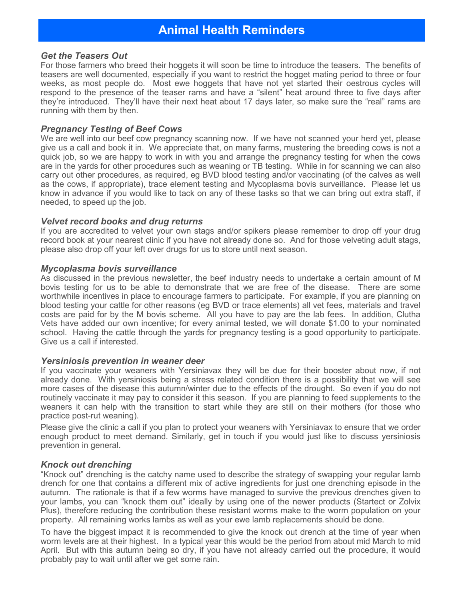### *Get the Teasers Out*

For those farmers who breed their hoggets it will soon be time to introduce the teasers. The benefits of teasers are well documented, especially if you want to restrict the hogget mating period to three or four weeks, as most people do. Most ewe hoggets that have not yet started their oestrous cycles will respond to the presence of the teaser rams and have a "silent" heat around three to five days after they're introduced. They'll have their next heat about 17 days later, so make sure the "real" rams are running with them by then.

### *Pregnancy Testing of Beef Cows*

We are well into our beef cow pregnancy scanning now. If we have not scanned your herd yet, please give us a call and book it in. We appreciate that, on many farms, mustering the breeding cows is not a quick job, so we are happy to work in with you and arrange the pregnancy testing for when the cows are in the yards for other procedures such as weaning or TB testing. While in for scanning we can also carry out other procedures, as required, eg BVD blood testing and/or vaccinating (of the calves as well as the cows, if appropriate), trace element testing and Mycoplasma bovis surveillance. Please let us know in advance if you would like to tack on any of these tasks so that we can bring out extra staff, if needed, to speed up the job.

### *Velvet record books and drug returns*

If you are accredited to velvet your own stags and/or spikers please remember to drop off your drug record book at your nearest clinic if you have not already done so. And for those velveting adult stags, please also drop off your left over drugs for us to store until next season.

### *Mycoplasma bovis surveillance*

As discussed in the previous newsletter, the beef industry needs to undertake a certain amount of M bovis testing for us to be able to demonstrate that we are free of the disease. There are some worthwhile incentives in place to encourage farmers to participate. For example, if you are planning on blood testing your cattle for other reasons (eg BVD or trace elements) all vet fees, materials and travel costs are paid for by the M bovis scheme. All you have to pay are the lab fees. In addition, Clutha Vets have added our own incentive; for every animal tested, we will donate \$1.00 to your nominated school. Having the cattle through the yards for pregnancy testing is a good opportunity to participate. Give us a call if interested.

### *Yersiniosis prevention in weaner deer*

If you vaccinate your weaners with Yersiniavax they will be due for their booster about now, if not already done. With yersiniosis being a stress related condition there is a possibility that we will see more cases of the disease this autumn/winter due to the effects of the drought. So even if you do not routinely vaccinate it may pay to consider it this season. If you are planning to feed supplements to the weaners it can help with the transition to start while they are still on their mothers (for those who practice post-rut weaning).

Please give the clinic a call if you plan to protect your weaners with Yersiniavax to ensure that we order enough product to meet demand. Similarly, get in touch if you would just like to discuss yersiniosis prevention in general.

### *Knock out drenching*

"Knock out" drenching is the catchy name used to describe the strategy of swapping your regular lamb drench for one that contains a different mix of active ingredients for just one drenching episode in the autumn. The rationale is that if a few worms have managed to survive the previous drenches given to your lambs, you can "knock them out" ideally by using one of the newer products (Startect or Zolvix Plus), therefore reducing the contribution these resistant worms make to the worm population on your property. All remaining works lambs as well as your ewe lamb replacements should be done.

To have the biggest impact it is recommended to give the knock out drench at the time of year when worm levels are at their highest. In a typical year this would be the period from about mid March to mid April. But with this autumn being so dry, if you have not already carried out the procedure, it would probably pay to wait until after we get some rain.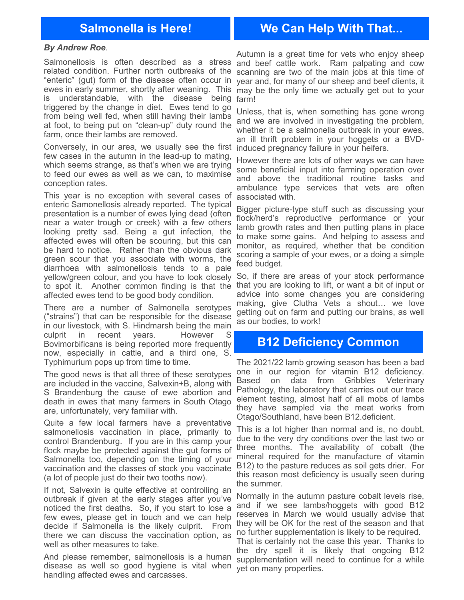## **Salmonella is Here! We Can Help With That...**

### *By Andrew Roe*.

Salmonellosis is often described as a stress and beef cattle work. Ram palpating and cow related condition. Further north outbreaks of the scanning are two of the main jobs at this time of "enteric" (gut) form of the disease often occur in year and, for many of our sheep and beef clients, it ewes in early summer, shortly after weaning. This may be the only time we actually get out to your is understandable, with the disease being farm! triggered by the change in diet. Ewes tend to go from being well fed, when still having their lambs at foot, to being put on "clean-up" duty round the farm, once their lambs are removed.

Conversely, in our area, we usually see the first induced pregnancy failure in your heifers. few cases in the autumn in the lead-up to mating, which seems strange, as that's when we are trying to feed our ewes as well as we can, to maximise conception rates.

This year is no exception with several cases of associated with. enteric Samonellosis already reported. The typical presentation is a number of ewes lying dead (often near a water trough or creek) with a few others looking pretty sad. Being a gut infection, the affected ewes will often be scouring, but this can be hard to notice. Rather than the obvious dark green scour that you associate with worms, the diarrhoea with salmonellosis tends to a pale yellow/green colour, and you have to look closely So, if there are areas of your stock performance to spot it. Another common finding is that the that you are looking to lift, or want a bit of input or affected ewes tend to be good body condition.

There are a number of Salmonella serotypes ("strains") that can be responsible for the disease in our livestock, with S. Hindmarsh being the main culprit in recent years. However S Bovimorbificans is being reported more frequently now, especially in cattle, and a third one, S. Typhimurium pops up from time to time.

The good news is that all three of these serotypes are included in the vaccine, Salvexin+B, along with S Brandenburg the cause of ewe abortion and death in ewes that many farmers in South Otago are, unfortunately, very familiar with.

Quite a few local farmers have a preventative salmonellosis vaccination in place, primarily to control Brandenburg. If you are in this camp your flock maybe be protected against the gut forms of Salmonella too, depending on the timing of your vaccination and the classes of stock you vaccinate (a lot of people just do their two tooths now).

If not, Salvexin is quite effective at controlling an outbreak if given at the early stages after you've noticed the first deaths. So, if you start to lose a few ewes, please get in touch and we can help decide if Salmonella is the likely culprit. From there we can discuss the vaccination option, as no further supplementation is likely to be required. well as other measures to take.

And please remember, salmonellosis is a human disease as well so good hygiene is vital when handling affected ewes and carcasses.

Autumn is a great time for vets who enjoy sheep

Unless, that is, when something has gone wrong and we are involved in investigating the problem, whether it be a salmonella outbreak in your ewes, an ill thrift problem in your hoggets or a BVD-

However there are lots of other ways we can have some beneficial input into farming operation over and above the traditional routine tasks and ambulance type services that vets are often

Bigger picture-type stuff such as discussing your flock/herd's reproductive performance or your lamb growth rates and then putting plans in place to make some gains. And helping to assess and monitor, as required, whether that be condition scoring a sample of your ewes, or a doing a simple feed budget.

advice into some changes you are considering making, give Clutha Vets a shout… we love getting out on farm and putting our brains, as well as our bodies, to work!

### **B12 Deficiency Common**

The 2021/22 lamb growing season has been a bad one in our region for vitamin B12 deficiency. Based on data from Gribbles Veterinary Pathology, the laboratory that carries out our trace element testing, almost half of all mobs of lambs they have sampled via the meat works from Otago/Southland, have been B12.deficient.

This is a lot higher than normal and is, no doubt, due to the very dry conditions over the last two or three months. The availability of cobalt (the mineral required for the manufacture of vitamin B12) to the pasture reduces as soil gets drier. For this reason most deficiency is usually seen during the summer.

Normally in the autumn pasture cobalt levels rise, and if we see lambs/hoggets with good B12 reserves in March we would usually advise that they will be OK for the rest of the season and that

That is certainly not the case this year. Thanks to the dry spell it is likely that ongoing B12 supplementation will need to continue for a while yet on many properties.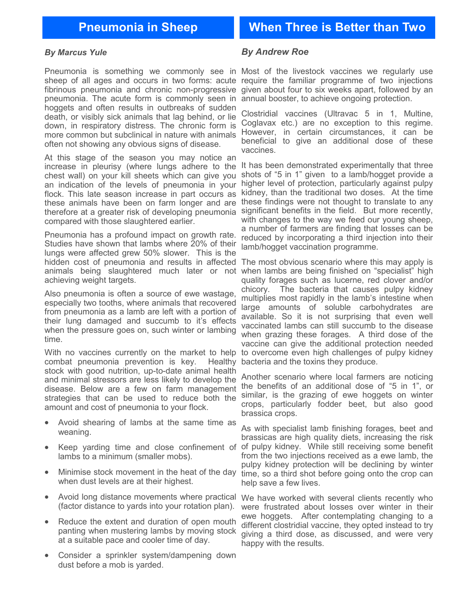### *By Marcus Yule*

Pneumonia is something we commonly see in Most of the livestock vaccines we regularly use fibrinous pneumonia and chronic non-progressive pneumonia. The acute form is commonly seen in annual booster, to achieve ongoing protection. hoggets and often results in outbreaks of sudden death, or visibly sick animals that lag behind, or lie down, in respiratory distress. The chronic form is more common but subclinical in nature with animals often not showing any obvious signs of disease.

At this stage of the season you may notice an increase in pleurisy (where lungs adhere to the chest wall) on your kill sheets which can give you an indication of the levels of pneumonia in your flock. This late season increase in part occurs as these animals have been on farm longer and are therefore at a greater risk of developing pneumonia compared with those slaughtered earlier.

Pneumonia has a profound impact on growth rate. Studies have shown that lambs where 20% of their lungs were affected grew 50% slower. This is the hidden cost of pneumonia and results in affected The most obvious scenario where this may apply is animals being slaughtered much later or not achieving weight targets.

Also pneumonia is often a source of ewe wastage, especially two tooths, where animals that recovered from pneumonia as a lamb are left with a portion of their lung damaged and succumb to it's effects when the pressure goes on, such winter or lambing time.

With no vaccines currently on the market to help combat pneumonia prevention is key. Healthy stock with good nutrition, up-to-date animal health and minimal stressors are less likely to develop the disease. Below are a few on farm management strategies that can be used to reduce both the amount and cost of pneumonia to your flock.

- Avoid shearing of lambs at the same time as weaning.
- lambs to a minimum (smaller mobs).
- Minimise stock movement in the heat of the day when dust levels are at their highest.
- Avoid long distance movements where practical We have worked with several clients recently who (factor distance to yards into your rotation plan).
- Reduce the extent and duration of open mouth panting when mustering lambs by moving stock at a suitable pace and cooler time of day.
- Consider a sprinkler system/dampening down dust before a mob is yarded.

### *By Andrew Roe*

sheep of all ages and occurs in two forms: acute require the familiar programme of two injections given about four to six weeks apart, followed by an

> Clostridial vaccines (Ultravac 5 in 1, Multine, Coglavax etc.) are no exception to this regime. However, in certain circumstances, it can be beneficial to give an additional dose of these vaccines.

> It has been demonstrated experimentally that three shots of "5 in 1" given to a lamb/hogget provide a higher level of protection, particularly against pulpy kidney, than the traditional two doses. At the time these findings were not thought to translate to any significant benefits in the field. But more recently, with changes to the way we feed our young sheep, a number of farmers are finding that losses can be reduced by incorporating a third injection into their lamb/hogget vaccination programme.

> when lambs are being finished on "specialist" high quality forages such as lucerne, red clover and/or chicory. The bacteria that causes pulpy kidney multiplies most rapidly in the lamb's intestine when large amounts of soluble carbohydrates are available. So it is not surprising that even well vaccinated lambs can still succumb to the disease when grazing these forages. A third dose of the vaccine can give the additional protection needed to overcome even high challenges of pulpy kidney bacteria and the toxins they produce.

> Another scenario where local farmers are noticing the benefits of an additional dose of "5 in 1", or similar, is the grazing of ewe hoggets on winter crops, particularly fodder beet, but also good brassica crops.

• Keep yarding time and close confinement of of pulpy kidney. While still receiving some benefit As with specialist lamb finishing forages, beet and brassicas are high quality diets, increasing the risk from the two injections received as a ewe lamb, the pulpy kidney protection will be declining by winter time, so a third shot before going onto the crop can help save a few lives.

> were frustrated about losses over winter in their ewe hoggets. After contemplating changing to a different clostridial vaccine, they opted instead to try giving a third dose, as discussed, and were very happy with the results.